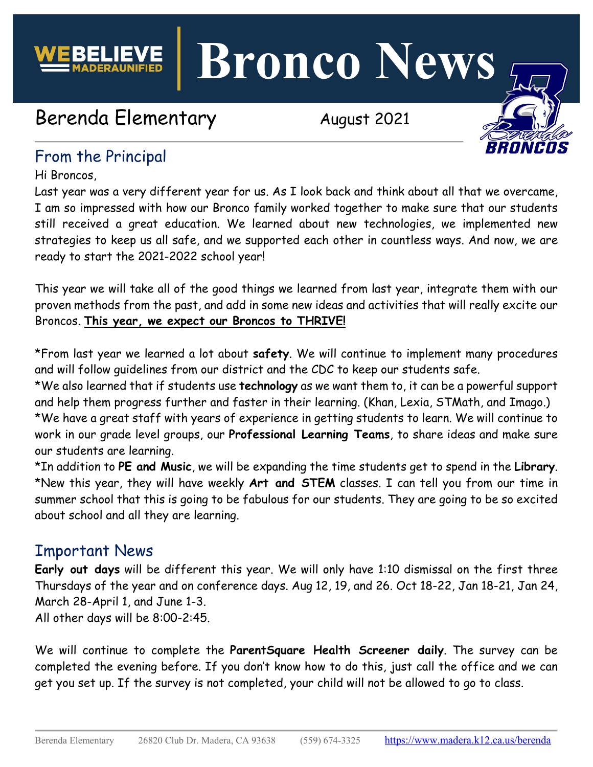

**Bronco News**

# Berenda Elementary **August 2021**



## From the Principal

Hi Broncos,

Last year was a very different year for us. As I look back and think about all that we overcame, I am so impressed with how our Bronco family worked together to make sure that our students still received a great education. We learned about new technologies, we implemented new strategies to keep us all safe, and we supported each other in countless ways. And now, we are ready to start the 2021-2022 school year!

This year we will take all of the good things we learned from last year, integrate them with our proven methods from the past, and add in some new ideas and activities that will really excite our Broncos. **This year, we expect our Broncos to THRIVE!**

\*From last year we learned a lot about **safety**. We will continue to implement many procedures and will follow guidelines from our district and the CDC to keep our students safe.

\*We also learned that if students use **technology** as we want them to, it can be a powerful support and help them progress further and faster in their learning. (Khan, Lexia, STMath, and Imago.) \*We have a great staff with years of experience in getting students to learn. We will continue to work in our grade level groups, our **Professional Learning Teams**, to share ideas and make sure our students are learning.

\*In addition to **PE and Music**, we will be expanding the time students get to spend in the **Library**. \*New this year, they will have weekly **Art and STEM** classes. I can tell you from our time in summer school that this is going to be fabulous for our students. They are going to be so excited about school and all they are learning.

### Important News

**Early out days** will be different this year. We will only have 1:10 dismissal on the first three Thursdays of the year and on conference days. Aug 12, 19, and 26. Oct 18-22, Jan 18-21, Jan 24, March 28-April 1, and June 1-3. All other days will be 8:00-2:45.

We will continue to complete the **ParentSquare Health Screener daily**. The survey can be completed the evening before. If you don't know how to do this, just call the office and we can get you set up. If the survey is not completed, your child will not be allowed to go to class.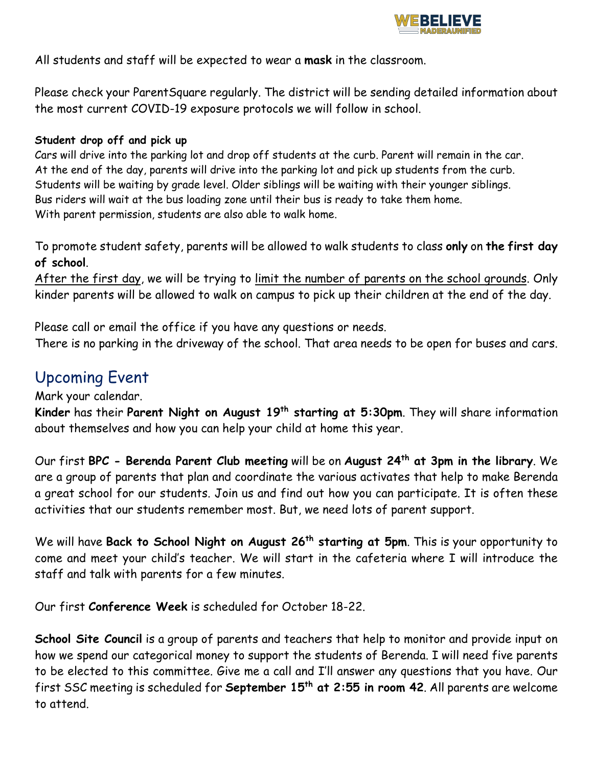

All students and staff will be expected to wear a **mask** in the classroom.

Please check your ParentSquare regularly. The district will be sending detailed information about the most current COVID-19 exposure protocols we will follow in school.

#### **Student drop off and pick up**

Cars will drive into the parking lot and drop off students at the curb. Parent will remain in the car. At the end of the day, parents will drive into the parking lot and pick up students from the curb. Students will be waiting by grade level. Older siblings will be waiting with their younger siblings. Bus riders will wait at the bus loading zone until their bus is ready to take them home. With parent permission, students are also able to walk home.

To promote student safety, parents will be allowed to walk students to class **only** on **the first day of school**.

After the first day, we will be trying to limit the number of parents on the school grounds. Only kinder parents will be allowed to walk on campus to pick up their children at the end of the day.

Please call or email the office if you have any questions or needs.

There is no parking in the driveway of the school. That area needs to be open for buses and cars.

### Upcoming Event

Mark your calendar.

**Kinder** has their **Parent Night on August 19th starting at 5:30pm**. They will share information about themselves and how you can help your child at home this year.

Our first **BPC - Berenda Parent Club meeting** will be on **August 24th at 3pm in the library**. We are a group of parents that plan and coordinate the various activates that help to make Berenda a great school for our students. Join us and find out how you can participate. It is often these activities that our students remember most. But, we need lots of parent support.

We will have **Back to School Night on August 26th starting at 5pm**. This is your opportunity to come and meet your child's teacher. We will start in the cafeteria where I will introduce the staff and talk with parents for a few minutes.

Our first **Conference Week** is scheduled for October 18-22.

**School Site Council** is a group of parents and teachers that help to monitor and provide input on how we spend our categorical money to support the students of Berenda. I will need five parents to be elected to this committee. Give me a call and I'll answer any questions that you have. Our first SSC meeting is scheduled for **September 15th at 2:55 in room 42**. All parents are welcome to attend.